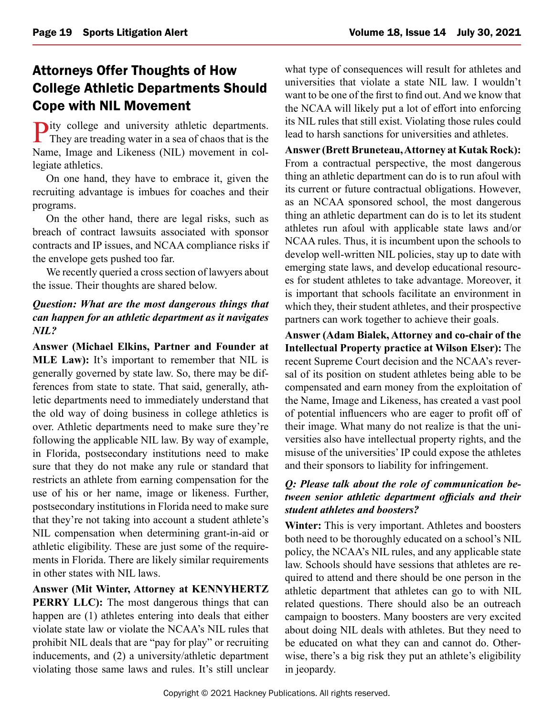# Attorneys Offer Thoughts of How College Athletic Departments Should Cope with NIL Movement

Pity college and university athletic departments. They are treading water in a sea of chaos that is the Name, Image and Likeness (NIL) movement in collegiate athletics.

On one hand, they have to embrace it, given the recruiting advantage is imbues for coaches and their programs.

On the other hand, there are legal risks, such as breach of contract lawsuits associated with sponsor contracts and IP issues, and NCAA compliance risks if the envelope gets pushed too far.

We recently queried a cross section of lawyers about the issue. Their thoughts are shared below.

## *Question: What are the most dangerous things that can happen for an athletic department as it navigates NIL?*

**Answer (Michael Elkins, Partner and Founder at MLE Law):** It's important to remember that NIL is generally governed by state law. So, there may be differences from state to state. That said, generally, athletic departments need to immediately understand that the old way of doing business in college athletics is over. Athletic departments need to make sure they're following the applicable NIL law. By way of example, in Florida, postsecondary institutions need to make sure that they do not make any rule or standard that restricts an athlete from earning compensation for the use of his or her name, image or likeness. Further, postsecondary institutions in Florida need to make sure that they're not taking into account a student athlete's NIL compensation when determining grant-in-aid or athletic eligibility. These are just some of the requirements in Florida. There are likely similar requirements in other states with NIL laws.

**Answer (Mit Winter, Attorney at KENNYHERTZ PERRY LLC):** The most dangerous things that can happen are (1) athletes entering into deals that either violate state law or violate the NCAA's NIL rules that prohibit NIL deals that are "pay for play" or recruiting inducements, and (2) a university/athletic department violating those same laws and rules. It's still unclear

what type of consequences will result for athletes and universities that violate a state NIL law. I wouldn't want to be one of the first to find out. And we know that the NCAA will likely put a lot of effort into enforcing its NIL rules that still exist. Violating those rules could lead to harsh sanctions for universities and athletes.

**Answer (Brett Bruneteau, Attorney at Kutak Rock):** From a contractual perspective, the most dangerous thing an athletic department can do is to run afoul with its current or future contractual obligations. However, as an NCAA sponsored school, the most dangerous thing an athletic department can do is to let its student athletes run afoul with applicable state laws and/or NCAA rules. Thus, it is incumbent upon the schools to develop well-written NIL policies, stay up to date with emerging state laws, and develop educational resources for student athletes to take advantage. Moreover, it is important that schools facilitate an environment in which they, their student athletes, and their prospective partners can work together to achieve their goals.

**Answer (Adam Bialek, Attorney and co-chair of the Intellectual Property practice at Wilson Elser):** The recent Supreme Court decision and the NCAA's reversal of its position on student athletes being able to be compensated and earn money from the exploitation of the Name, Image and Likeness, has created a vast pool of potential influencers who are eager to profit off of their image. What many do not realize is that the universities also have intellectual property rights, and the misuse of the universities' IP could expose the athletes and their sponsors to liability for infringement.

## *Q: Please talk about the role of communication between senior athletic department officials and their student athletes and boosters?*

**Winter:** This is very important. Athletes and boosters both need to be thoroughly educated on a school's NIL policy, the NCAA's NIL rules, and any applicable state law. Schools should have sessions that athletes are required to attend and there should be one person in the athletic department that athletes can go to with NIL related questions. There should also be an outreach campaign to boosters. Many boosters are very excited about doing NIL deals with athletes. But they need to be educated on what they can and cannot do. Otherwise, there's a big risk they put an athlete's eligibility in jeopardy.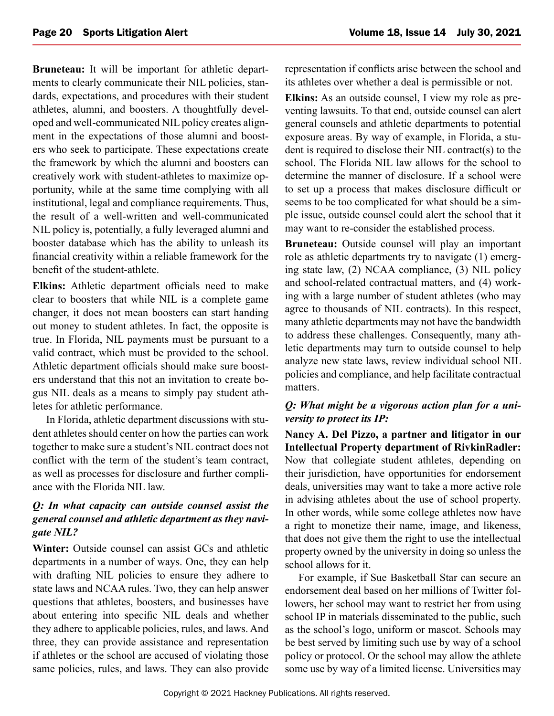**Bruneteau:** It will be important for athletic departments to clearly communicate their NIL policies, standards, expectations, and procedures with their student athletes, alumni, and boosters. A thoughtfully developed and well-communicated NIL policy creates alignment in the expectations of those alumni and boosters who seek to participate. These expectations create the framework by which the alumni and boosters can creatively work with student-athletes to maximize opportunity, while at the same time complying with all institutional, legal and compliance requirements. Thus, the result of a well-written and well-communicated NIL policy is, potentially, a fully leveraged alumni and booster database which has the ability to unleash its financial creativity within a reliable framework for the benefit of the student-athlete.

**Elkins:** Athletic department officials need to make clear to boosters that while NIL is a complete game changer, it does not mean boosters can start handing out money to student athletes. In fact, the opposite is true. In Florida, NIL payments must be pursuant to a valid contract, which must be provided to the school. Athletic department officials should make sure boosters understand that this not an invitation to create bogus NIL deals as a means to simply pay student athletes for athletic performance.

In Florida, athletic department discussions with student athletes should center on how the parties can work together to make sure a student's NIL contract does not conflict with the term of the student's team contract, as well as processes for disclosure and further compliance with the Florida NIL law.

## *Q: In what capacity can outside counsel assist the general counsel and athletic department as they navigate NIL?*

**Winter:** Outside counsel can assist GCs and athletic departments in a number of ways. One, they can help with drafting NIL policies to ensure they adhere to state laws and NCAA rules. Two, they can help answer questions that athletes, boosters, and businesses have about entering into specific NIL deals and whether they adhere to applicable policies, rules, and laws. And three, they can provide assistance and representation if athletes or the school are accused of violating those same policies, rules, and laws. They can also provide representation if conflicts arise between the school and its athletes over whether a deal is permissible or not.

**Elkins:** As an outside counsel, I view my role as preventing lawsuits. To that end, outside counsel can alert general counsels and athletic departments to potential exposure areas. By way of example, in Florida, a student is required to disclose their NIL contract(s) to the school. The Florida NIL law allows for the school to determine the manner of disclosure. If a school were to set up a process that makes disclosure difficult or seems to be too complicated for what should be a simple issue, outside counsel could alert the school that it may want to re-consider the established process.

**Bruneteau:** Outside counsel will play an important role as athletic departments try to navigate (1) emerging state law, (2) NCAA compliance, (3) NIL policy and school-related contractual matters, and (4) working with a large number of student athletes (who may agree to thousands of NIL contracts). In this respect, many athletic departments may not have the bandwidth to address these challenges. Consequently, many athletic departments may turn to outside counsel to help analyze new state laws, review individual school NIL policies and compliance, and help facilitate contractual matters.

## *Q: What might be a vigorous action plan for a university to protect its IP:*

**Nancy A. Del Pizzo, a partner and litigator in our Intellectual Property department of RivkinRadler:** Now that collegiate student athletes, depending on their jurisdiction, have opportunities for endorsement deals, universities may want to take a more active role in advising athletes about the use of school property. In other words, while some college athletes now have a right to monetize their name, image, and likeness, that does not give them the right to use the intellectual property owned by the university in doing so unless the school allows for it.

For example, if Sue Basketball Star can secure an endorsement deal based on her millions of Twitter followers, her school may want to restrict her from using school IP in materials disseminated to the public, such as the school's logo, uniform or mascot. Schools may be best served by limiting such use by way of a school policy or protocol. Or the school may allow the athlete some use by way of a limited license. Universities may